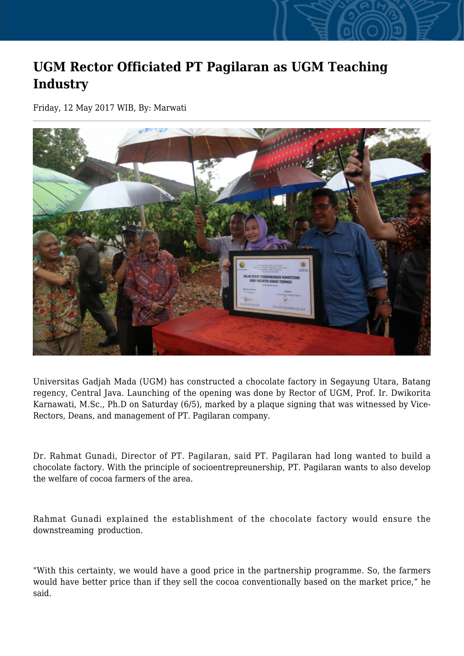## **UGM Rector Officiated PT Pagilaran as UGM Teaching Industry**

Friday, 12 May 2017 WIB, By: Marwati



Universitas Gadjah Mada (UGM) has constructed a chocolate factory in Segayung Utara, Batang regency, Central Java. Launching of the opening was done by Rector of UGM, Prof. Ir. Dwikorita Karnawati, M.Sc., Ph.D on Saturday (6/5), marked by a plaque signing that was witnessed by Vice-Rectors, Deans, and management of PT. Pagilaran company.

Dr. Rahmat Gunadi, Director of PT. Pagilaran, said PT. Pagilaran had long wanted to build a chocolate factory. With the principle of socioentrepreunership, PT. Pagilaran wants to also develop the welfare of cocoa farmers of the area.

Rahmat Gunadi explained the establishment of the chocolate factory would ensure the downstreaming production.

"With this certainty, we would have a good price in the partnership programme. So, the farmers would have better price than if they sell the cocoa conventionally based on the market price," he said.